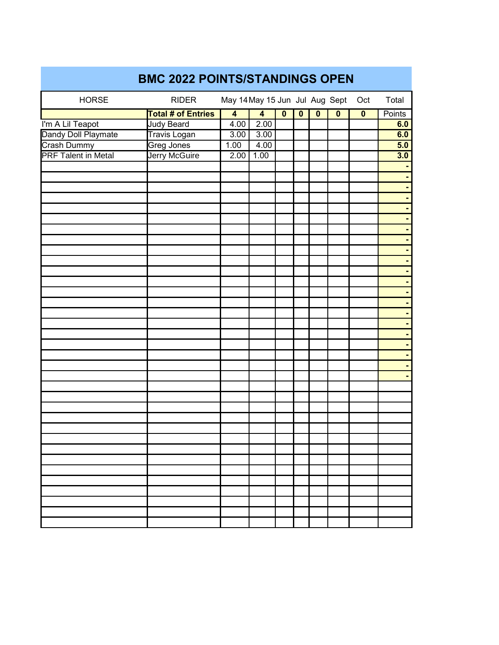| <b>BMC 2022 POINTS/STANDINGS OPEN</b> |                           |                                |                         |                         |                         |                         |                         |             |                |  |
|---------------------------------------|---------------------------|--------------------------------|-------------------------|-------------------------|-------------------------|-------------------------|-------------------------|-------------|----------------|--|
| <b>HORSE</b>                          | <b>RIDER</b>              | May 14 May 15 Jun Jul Aug Sept |                         |                         |                         |                         |                         | Oct         | Total          |  |
|                                       | <b>Total # of Entries</b> | $\overline{\mathbf{4}}$        | $\overline{\mathbf{4}}$ | $\overline{\mathbf{0}}$ | $\overline{\mathbf{0}}$ | $\overline{\mathbf{0}}$ | $\overline{\mathbf{0}}$ | $\mathbf 0$ | Points         |  |
| I'm A Lil Teapot                      | <b>Judy Beard</b>         | 4.00                           | 2.00                    |                         |                         |                         |                         |             | 6.0            |  |
| Dandy Doll Playmate                   | Travis Logan              | 3.00                           | 3.00                    |                         |                         |                         |                         |             | 6.0            |  |
| Crash Dummy                           | Greg Jones                | 1.00                           | 4.00                    |                         |                         |                         |                         |             | 5.0            |  |
| <b>PRF Talent in Metal</b>            | Jerry McGuire             | 2.00                           | 1.00                    |                         |                         |                         |                         |             | 3.0            |  |
|                                       |                           |                                |                         |                         |                         |                         |                         |             |                |  |
|                                       |                           |                                |                         |                         |                         |                         |                         |             | ٠              |  |
|                                       |                           |                                |                         |                         |                         |                         |                         |             | $\blacksquare$ |  |
|                                       |                           |                                |                         |                         |                         |                         |                         |             | ٠              |  |
|                                       |                           |                                |                         |                         |                         |                         |                         |             | ٠              |  |
|                                       |                           |                                |                         |                         |                         |                         |                         |             | ٠              |  |
|                                       |                           |                                |                         |                         |                         |                         |                         |             | $\blacksquare$ |  |
|                                       |                           |                                |                         |                         |                         |                         |                         |             | ٠              |  |
|                                       |                           |                                |                         |                         |                         |                         |                         |             | ٠              |  |
|                                       |                           |                                |                         |                         |                         |                         |                         |             | ٠              |  |
|                                       |                           |                                |                         |                         |                         |                         |                         |             | ٠              |  |
|                                       |                           |                                |                         |                         |                         |                         |                         |             |                |  |
|                                       |                           |                                |                         |                         |                         |                         |                         |             | ٠              |  |
|                                       |                           |                                |                         |                         |                         |                         |                         |             | ٠              |  |
|                                       |                           |                                |                         |                         |                         |                         |                         |             | ٠              |  |
|                                       |                           |                                |                         |                         |                         |                         |                         |             | ٠              |  |
|                                       |                           |                                |                         |                         |                         |                         |                         |             |                |  |
|                                       |                           |                                |                         |                         |                         |                         |                         |             | ٠              |  |
|                                       |                           |                                |                         |                         |                         |                         |                         |             |                |  |
|                                       |                           |                                |                         |                         |                         |                         |                         |             | ٠              |  |
|                                       |                           |                                |                         |                         |                         |                         |                         |             |                |  |
|                                       |                           |                                |                         |                         |                         |                         |                         |             | $\blacksquare$ |  |
|                                       |                           |                                |                         |                         |                         |                         |                         |             |                |  |
|                                       |                           |                                |                         |                         |                         |                         |                         |             |                |  |
|                                       |                           |                                |                         |                         |                         |                         |                         |             |                |  |
|                                       |                           |                                |                         |                         |                         |                         |                         |             |                |  |
|                                       |                           |                                |                         |                         |                         |                         |                         |             |                |  |
|                                       |                           |                                |                         |                         |                         |                         |                         |             |                |  |
|                                       |                           |                                |                         |                         |                         |                         |                         |             |                |  |
|                                       |                           |                                |                         |                         |                         |                         |                         |             |                |  |
|                                       |                           |                                |                         |                         |                         |                         |                         |             |                |  |
|                                       |                           |                                |                         |                         |                         |                         |                         |             |                |  |
|                                       |                           |                                |                         |                         |                         |                         |                         |             |                |  |
|                                       |                           |                                |                         |                         |                         |                         |                         |             |                |  |
|                                       |                           |                                |                         |                         |                         |                         |                         |             |                |  |
|                                       |                           |                                |                         |                         |                         |                         |                         |             |                |  |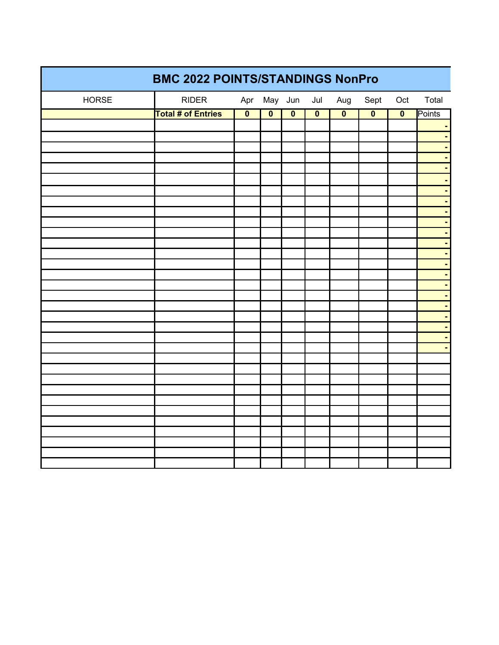| <b>BMC 2022 POINTS/STANDINGS NonPro</b> |                           |                         |                         |                         |                         |                         |                         |                         |        |  |
|-----------------------------------------|---------------------------|-------------------------|-------------------------|-------------------------|-------------------------|-------------------------|-------------------------|-------------------------|--------|--|
| <b>HORSE</b>                            | RIDER                     |                         |                         | Apr May Jun             | Jul                     | Aug                     | Sept                    | Oct                     | Total  |  |
|                                         | <b>Total # of Entries</b> | $\overline{\mathbf{0}}$ | $\overline{\mathbf{0}}$ | $\overline{\mathbf{0}}$ | $\overline{\mathbf{0}}$ | $\overline{\mathbf{0}}$ | $\overline{\mathbf{0}}$ | $\overline{\mathbf{0}}$ | Points |  |
|                                         |                           |                         |                         |                         |                         |                         |                         |                         |        |  |
|                                         |                           |                         |                         |                         |                         |                         |                         |                         |        |  |
|                                         |                           |                         |                         |                         |                         |                         |                         |                         |        |  |
|                                         |                           |                         |                         |                         |                         |                         |                         |                         |        |  |
|                                         |                           |                         |                         |                         |                         |                         |                         |                         |        |  |
|                                         |                           |                         |                         |                         |                         |                         |                         |                         |        |  |
|                                         |                           |                         |                         |                         |                         |                         |                         |                         |        |  |
|                                         |                           |                         |                         |                         |                         |                         |                         |                         |        |  |
|                                         |                           |                         |                         |                         |                         |                         |                         |                         |        |  |
|                                         |                           |                         |                         |                         |                         |                         |                         |                         |        |  |
|                                         |                           |                         |                         |                         |                         |                         |                         |                         |        |  |
|                                         |                           |                         |                         |                         |                         |                         |                         |                         |        |  |
|                                         |                           |                         |                         |                         |                         |                         |                         |                         |        |  |
|                                         |                           |                         |                         |                         |                         |                         |                         |                         |        |  |
|                                         |                           |                         |                         |                         |                         |                         |                         |                         |        |  |
|                                         |                           |                         |                         |                         |                         |                         |                         |                         |        |  |
|                                         |                           |                         |                         |                         |                         |                         |                         |                         |        |  |
|                                         |                           |                         |                         |                         |                         |                         |                         |                         |        |  |
|                                         |                           |                         |                         |                         |                         |                         |                         |                         |        |  |
|                                         |                           |                         |                         |                         |                         |                         |                         |                         |        |  |
|                                         |                           |                         |                         |                         |                         |                         |                         |                         |        |  |
|                                         |                           |                         |                         |                         |                         |                         |                         |                         |        |  |
|                                         |                           |                         |                         |                         |                         |                         |                         |                         |        |  |
|                                         |                           |                         |                         |                         |                         |                         |                         |                         |        |  |
|                                         |                           |                         |                         |                         |                         |                         |                         |                         |        |  |
|                                         |                           |                         |                         |                         |                         |                         |                         |                         |        |  |
|                                         |                           |                         |                         |                         |                         |                         |                         |                         |        |  |
|                                         |                           |                         |                         |                         |                         |                         |                         |                         |        |  |
|                                         |                           |                         |                         |                         |                         |                         |                         |                         |        |  |
|                                         |                           |                         |                         |                         |                         |                         |                         |                         |        |  |
|                                         |                           |                         |                         |                         |                         |                         |                         |                         |        |  |
|                                         |                           |                         |                         |                         |                         |                         |                         |                         |        |  |
|                                         |                           |                         |                         |                         |                         |                         |                         |                         |        |  |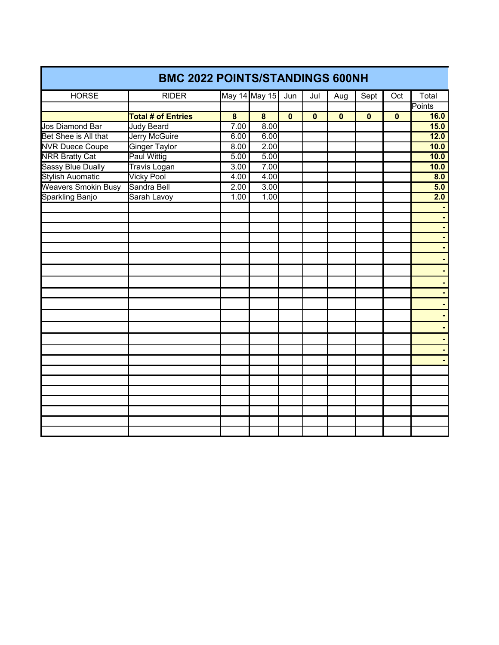| <b>BMC 2022 POINTS/STANDINGS 600NH</b> |                           |                         |                         |                         |                         |                         |                         |          |                  |  |  |
|----------------------------------------|---------------------------|-------------------------|-------------------------|-------------------------|-------------------------|-------------------------|-------------------------|----------|------------------|--|--|
| <b>HORSE</b>                           | <b>RIDER</b>              |                         | May 14 May 15           | Jun                     | Jul                     | Aug                     | Sept                    | Oct      | Total            |  |  |
|                                        |                           |                         |                         |                         |                         |                         |                         |          | Points           |  |  |
|                                        | <b>Total # of Entries</b> | $\overline{\mathbf{8}}$ | $\overline{\mathbf{8}}$ | $\overline{\mathbf{0}}$ | $\overline{\mathbf{0}}$ | $\overline{\mathbf{0}}$ | $\overline{\mathbf{0}}$ | $\bf{0}$ | 16.0             |  |  |
| Jos Diamond Bar                        | <b>Judy Beard</b>         | 7.00                    | 8.00                    |                         |                         |                         |                         |          | 15.0             |  |  |
| Bet Shee is All that                   | <b>Jerry McGuire</b>      | 6.00                    | 6.00                    |                         |                         |                         |                         |          | 12.0             |  |  |
| <b>NVR Duece Coupe</b>                 | <b>Ginger Taylor</b>      | 8.00                    | 2.00                    |                         |                         |                         |                         |          | 10.0             |  |  |
| <b>NRR Bratty Cat</b>                  | <b>Paul Wittig</b>        | 5.00                    | 5.00                    |                         |                         |                         |                         |          | 10.0             |  |  |
| <b>Sassy Blue Dually</b>               | Travis Logan              | 3.00                    | 7.00                    |                         |                         |                         |                         |          | 10.0             |  |  |
| <b>Stylish Auomatic</b>                | <b>Vicky Pool</b>         | 4.00                    | 4.00                    |                         |                         |                         |                         |          | $\overline{8.0}$ |  |  |
| <b>Weavers Smokin Busy</b>             | Sandra Bell               | 2.00                    | 3.00                    |                         |                         |                         |                         |          | 5.0              |  |  |
| Sparkling Banjo                        | Sarah Lavoy               | 1.00                    | 1.00                    |                         |                         |                         |                         |          | 2.0              |  |  |
|                                        |                           |                         |                         |                         |                         |                         |                         |          |                  |  |  |
|                                        |                           |                         |                         |                         |                         |                         |                         |          |                  |  |  |
|                                        |                           |                         |                         |                         |                         |                         |                         |          |                  |  |  |
|                                        |                           |                         |                         |                         |                         |                         |                         |          |                  |  |  |
|                                        |                           |                         |                         |                         |                         |                         |                         |          |                  |  |  |
|                                        |                           |                         |                         |                         |                         |                         |                         |          |                  |  |  |
|                                        |                           |                         |                         |                         |                         |                         |                         |          |                  |  |  |
|                                        |                           |                         |                         |                         |                         |                         |                         |          |                  |  |  |
|                                        |                           |                         |                         |                         |                         |                         |                         |          |                  |  |  |
|                                        |                           |                         |                         |                         |                         |                         |                         |          |                  |  |  |
|                                        |                           |                         |                         |                         |                         |                         |                         |          |                  |  |  |
|                                        |                           |                         |                         |                         |                         |                         |                         |          |                  |  |  |
|                                        |                           |                         |                         |                         |                         |                         |                         |          |                  |  |  |
|                                        |                           |                         |                         |                         |                         |                         |                         |          |                  |  |  |
|                                        |                           |                         |                         |                         |                         |                         |                         |          |                  |  |  |
|                                        |                           |                         |                         |                         |                         |                         |                         |          |                  |  |  |
|                                        |                           |                         |                         |                         |                         |                         |                         |          |                  |  |  |
|                                        |                           |                         |                         |                         |                         |                         |                         |          |                  |  |  |
|                                        |                           |                         |                         |                         |                         |                         |                         |          |                  |  |  |
|                                        |                           |                         |                         |                         |                         |                         |                         |          |                  |  |  |
|                                        |                           |                         |                         |                         |                         |                         |                         |          |                  |  |  |
|                                        |                           |                         |                         |                         |                         |                         |                         |          |                  |  |  |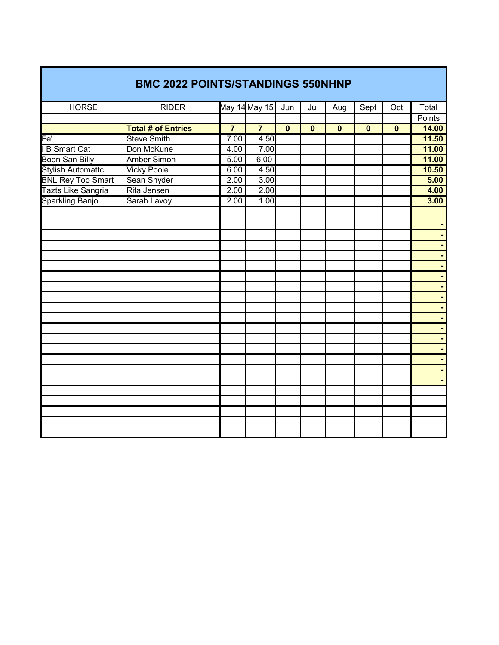|                          | <b>BMC 2022 POINTS/STANDINGS 550NHNP</b> |                |                |                |              |              |              |              |                                  |
|--------------------------|------------------------------------------|----------------|----------------|----------------|--------------|--------------|--------------|--------------|----------------------------------|
| <b>HORSE</b>             | <b>RIDER</b>                             |                | May 14 May 15  | Jun            | Jul          | Aug          | Sept         | Oct          | Total                            |
|                          |                                          |                |                |                |              |              |              |              | <b>Points</b>                    |
|                          | <b>Total # of Entries</b>                | $\overline{7}$ | $\overline{7}$ | $\overline{0}$ | $\mathbf{0}$ | $\mathbf{0}$ | $\mathbf{0}$ | $\mathbf{0}$ | 14.00                            |
| Fe'                      | <b>Steve Smith</b>                       | 7.00           | 4.50           |                |              |              |              |              | 11.50                            |
| I B Smart Cat            | Don McKune                               | 4.00           | 7.00           |                |              |              |              |              | 11.00                            |
| Boon San Billy           | <b>Amber Simon</b>                       | 5.00           | 6.00           |                |              |              |              |              | 11.00                            |
| <b>Stylish Automattc</b> | <b>Vicky Poole</b>                       | 6.00           | 4.50           |                |              |              |              |              | 10.50                            |
| <b>BNL Rey Too Smart</b> | Sean Snyder                              | 2.00           | 3.00           |                |              |              |              |              | 5.00                             |
| Tazts Like Sangria       | Rita Jensen                              | 2.00           | 2.00           |                |              |              |              |              | 4.00                             |
| Sparkling Banjo          | Sarah Lavoy                              | 2.00           | 1.00           |                |              |              |              |              | 3.00                             |
|                          |                                          |                |                |                |              |              |              |              |                                  |
|                          |                                          |                |                |                |              |              |              |              | $\blacksquare$                   |
|                          |                                          |                |                |                |              |              |              |              |                                  |
|                          |                                          |                |                |                |              |              |              |              | $\blacksquare$<br>$\blacksquare$ |
|                          |                                          |                |                |                |              |              |              |              | $\blacksquare$                   |
|                          |                                          |                |                |                |              |              |              |              | $\blacksquare$                   |
|                          |                                          |                |                |                |              |              |              |              | $\blacksquare$                   |
|                          |                                          |                |                |                |              |              |              |              | $\blacksquare$                   |
|                          |                                          |                |                |                |              |              |              |              | $\blacksquare$                   |
|                          |                                          |                |                |                |              |              |              |              | $\blacksquare$                   |
|                          |                                          |                |                |                |              |              |              |              | $\blacksquare$                   |
|                          |                                          |                |                |                |              |              |              |              | $\blacksquare$                   |
|                          |                                          |                |                |                |              |              |              |              |                                  |
|                          |                                          |                |                |                |              |              |              |              | ٠                                |
|                          |                                          |                |                |                |              |              |              |              | $\blacksquare$                   |
|                          |                                          |                |                |                |              |              |              |              |                                  |
|                          |                                          |                |                |                |              |              |              |              |                                  |
|                          |                                          |                |                |                |              |              |              |              |                                  |
|                          |                                          |                |                |                |              |              |              |              |                                  |
|                          |                                          |                |                |                |              |              |              |              |                                  |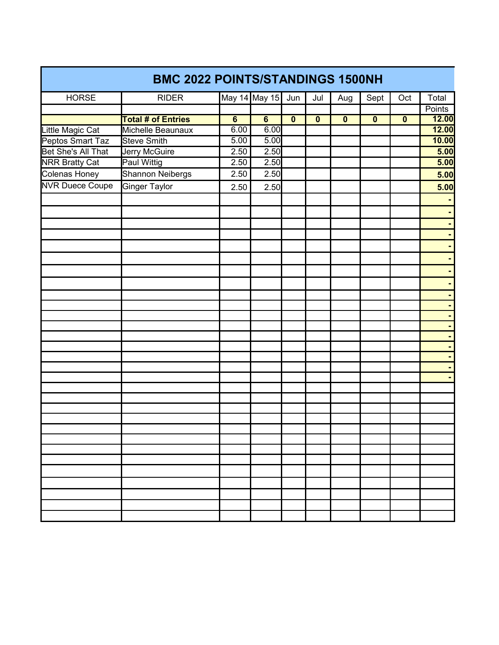|                        | <b>BMC 2022 POINTS/STANDINGS 1500NH</b> |                 |                 |                         |                         |                         |                         |             |        |
|------------------------|-----------------------------------------|-----------------|-----------------|-------------------------|-------------------------|-------------------------|-------------------------|-------------|--------|
| <b>HORSE</b>           | <b>RIDER</b>                            |                 | May 14 May 15   | Jun                     | Jul                     | Aug                     | Sept                    | Oct         | Total  |
|                        |                                         |                 |                 |                         |                         |                         |                         |             | Points |
|                        | <b>Total # of Entries</b>               | $6\overline{6}$ | $6\overline{6}$ | $\overline{\mathbf{0}}$ | $\overline{\mathbf{0}}$ | $\overline{\mathbf{0}}$ | $\overline{\mathbf{0}}$ | $\mathbf 0$ | 12.00  |
| Little Magic Cat       | Michelle Beaunaux                       | 6.00            | 6.00            |                         |                         |                         |                         |             | 12.00  |
| Peptos Smart Taz       | <b>Steve Smith</b>                      | 5.00            | 5.00            |                         |                         |                         |                         |             | 10.00  |
| Bet She's All That     | Jerry McGuire                           | 2.50            | 2.50            |                         |                         |                         |                         |             | 5.00   |
| <b>NRR Bratty Cat</b>  | <b>Paul Wittig</b>                      | 2.50            | 2.50            |                         |                         |                         |                         |             | 5.00   |
| Colenas Honey          | Shannon Neibergs                        | 2.50            | 2.50            |                         |                         |                         |                         |             | 5.00   |
| <b>NVR Duece Coupe</b> | Ginger Taylor                           | 2.50            | 2.50            |                         |                         |                         |                         |             | 5.00   |
|                        |                                         |                 |                 |                         |                         |                         |                         |             |        |
|                        |                                         |                 |                 |                         |                         |                         |                         |             |        |
|                        |                                         |                 |                 |                         |                         |                         |                         |             |        |
|                        |                                         |                 |                 |                         |                         |                         |                         |             |        |
|                        |                                         |                 |                 |                         |                         |                         |                         |             |        |
|                        |                                         |                 |                 |                         |                         |                         |                         |             |        |
|                        |                                         |                 |                 |                         |                         |                         |                         |             |        |
|                        |                                         |                 |                 |                         |                         |                         |                         |             |        |
|                        |                                         |                 |                 |                         |                         |                         |                         |             |        |
|                        |                                         |                 |                 |                         |                         |                         |                         |             |        |
|                        |                                         |                 |                 |                         |                         |                         |                         |             |        |
|                        |                                         |                 |                 |                         |                         |                         |                         |             |        |
|                        |                                         |                 |                 |                         |                         |                         |                         |             |        |
|                        |                                         |                 |                 |                         |                         |                         |                         |             |        |
|                        |                                         |                 |                 |                         |                         |                         |                         |             |        |
|                        |                                         |                 |                 |                         |                         |                         |                         |             |        |
|                        |                                         |                 |                 |                         |                         |                         |                         |             |        |
|                        |                                         |                 |                 |                         |                         |                         |                         |             |        |
|                        |                                         |                 |                 |                         |                         |                         |                         |             |        |
|                        |                                         |                 |                 |                         |                         |                         |                         |             |        |
|                        |                                         |                 |                 |                         |                         |                         |                         |             |        |
|                        |                                         |                 |                 |                         |                         |                         |                         |             |        |
|                        |                                         |                 |                 |                         |                         |                         |                         |             |        |
|                        |                                         |                 |                 |                         |                         |                         |                         |             |        |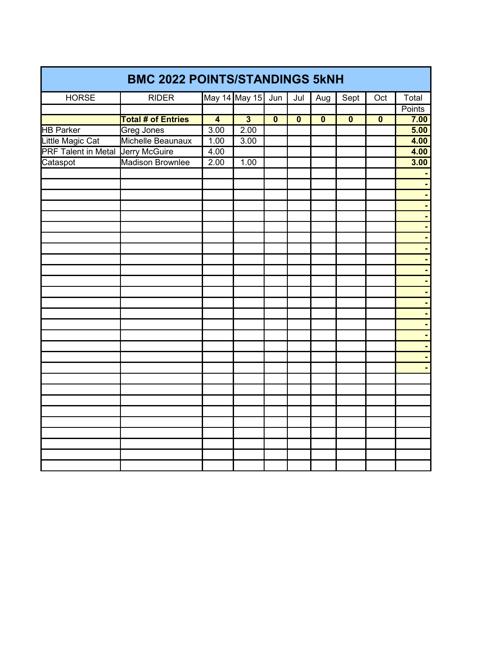| <b>BMC 2022 POINTS/STANDINGS 5kNH</b>    |                           |                |                         |                         |                |                         |                         |                         |               |  |  |
|------------------------------------------|---------------------------|----------------|-------------------------|-------------------------|----------------|-------------------------|-------------------------|-------------------------|---------------|--|--|
| <b>HORSE</b>                             | <b>RIDER</b>              |                | May 14 May 15 Jun       |                         | Jul            | Aug                     | Sept                    | Oct                     | Total         |  |  |
|                                          |                           |                |                         |                         |                |                         |                         |                         | <b>Points</b> |  |  |
|                                          | <b>Total # of Entries</b> | $\overline{4}$ | $\overline{\mathbf{3}}$ | $\overline{\mathbf{0}}$ | $\overline{0}$ | $\overline{\mathbf{0}}$ | $\overline{\mathbf{0}}$ | $\overline{\mathbf{0}}$ | 7.00          |  |  |
| <b>HB Parker</b>                         | <b>Greg Jones</b>         | 3.00           | 2.00                    |                         |                |                         |                         |                         | 5.00          |  |  |
| Little Magic Cat                         | Michelle Beaunaux         | 1.00           | 3.00                    |                         |                |                         |                         |                         | 4.00          |  |  |
| <b>PRF Talent in Metal Jerry McGuire</b> |                           | 4.00           |                         |                         |                |                         |                         |                         | 4.00          |  |  |
| Cataspot                                 | Madison Brownlee          | 2.00           | 1.00                    |                         |                |                         |                         |                         | 3.00          |  |  |
|                                          |                           |                |                         |                         |                |                         |                         |                         |               |  |  |
|                                          |                           |                |                         |                         |                |                         |                         |                         |               |  |  |
|                                          |                           |                |                         |                         |                |                         |                         |                         |               |  |  |
|                                          |                           |                |                         |                         |                |                         |                         |                         |               |  |  |
|                                          |                           |                |                         |                         |                |                         |                         |                         |               |  |  |
|                                          |                           |                |                         |                         |                |                         |                         |                         |               |  |  |
|                                          |                           |                |                         |                         |                |                         |                         |                         |               |  |  |
|                                          |                           |                |                         |                         |                |                         |                         |                         |               |  |  |
|                                          |                           |                |                         |                         |                |                         |                         |                         |               |  |  |
|                                          |                           |                |                         |                         |                |                         |                         |                         |               |  |  |
|                                          |                           |                |                         |                         |                |                         |                         |                         |               |  |  |
|                                          |                           |                |                         |                         |                |                         |                         |                         |               |  |  |
|                                          |                           |                |                         |                         |                |                         |                         |                         |               |  |  |
|                                          |                           |                |                         |                         |                |                         |                         |                         |               |  |  |
|                                          |                           |                |                         |                         |                |                         |                         |                         |               |  |  |
|                                          |                           |                |                         |                         |                |                         |                         |                         |               |  |  |
|                                          |                           |                |                         |                         |                |                         |                         |                         |               |  |  |
|                                          |                           |                |                         |                         |                |                         |                         |                         |               |  |  |
|                                          |                           |                |                         |                         |                |                         |                         |                         |               |  |  |
|                                          |                           |                |                         |                         |                |                         |                         |                         |               |  |  |
|                                          |                           |                |                         |                         |                |                         |                         |                         |               |  |  |
|                                          |                           |                |                         |                         |                |                         |                         |                         |               |  |  |
|                                          |                           |                |                         |                         |                |                         |                         |                         |               |  |  |
|                                          |                           |                |                         |                         |                |                         |                         |                         |               |  |  |
|                                          |                           |                |                         |                         |                |                         |                         |                         |               |  |  |
|                                          |                           |                |                         |                         |                |                         |                         |                         |               |  |  |
|                                          |                           |                |                         |                         |                |                         |                         |                         |               |  |  |
|                                          |                           |                |                         |                         |                |                         |                         |                         |               |  |  |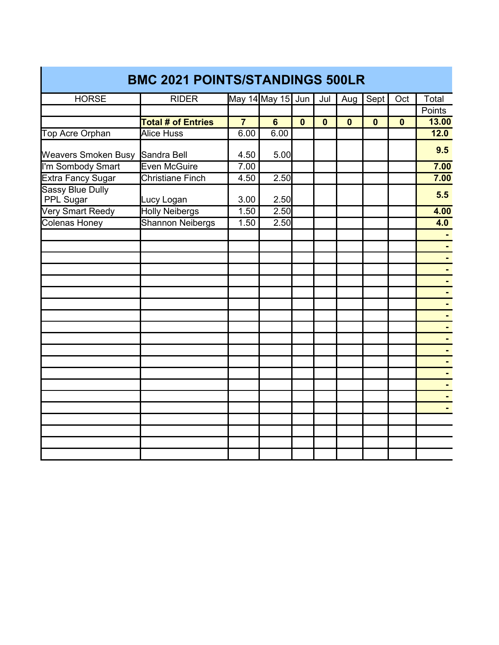| May 14 May 15 Jun<br><b>HORSE</b><br><b>RIDER</b><br>Jul<br>Aug<br>Sept  <br>Oct<br>Total<br><b>Points</b><br><b>Total # of Entries</b><br>13.00<br>$\overline{7}$<br>$6\phantom{a}$<br>$\mathbf{0}$<br>$\mathbf{0}$<br>$\mathbf{0}$<br>$\mathbf{0}$<br>$\mathbf 0$<br><b>Alice Huss</b><br>12.0<br>Top Acre Orphan<br>6.00<br>6.00<br>9.5<br>Weavers Smoken Busy Sandra Bell<br>5.00<br>4.50<br>I'm Sombody Smart<br>Even McGuire<br>7.00<br><b>Christiane Finch</b><br><b>Extra Fancy Sugar</b><br>4.50<br>2.50<br><b>Sassy Blue Dully</b><br>5.5 |
|-----------------------------------------------------------------------------------------------------------------------------------------------------------------------------------------------------------------------------------------------------------------------------------------------------------------------------------------------------------------------------------------------------------------------------------------------------------------------------------------------------------------------------------------------------|
|                                                                                                                                                                                                                                                                                                                                                                                                                                                                                                                                                     |
|                                                                                                                                                                                                                                                                                                                                                                                                                                                                                                                                                     |
|                                                                                                                                                                                                                                                                                                                                                                                                                                                                                                                                                     |
| 7.00<br>7.00                                                                                                                                                                                                                                                                                                                                                                                                                                                                                                                                        |
|                                                                                                                                                                                                                                                                                                                                                                                                                                                                                                                                                     |
|                                                                                                                                                                                                                                                                                                                                                                                                                                                                                                                                                     |
|                                                                                                                                                                                                                                                                                                                                                                                                                                                                                                                                                     |
| PPL Sugar<br>Lucy Logan<br>3.00<br>2.50                                                                                                                                                                                                                                                                                                                                                                                                                                                                                                             |
| <b>Very Smart Reedy</b><br><b>Holly Neibergs</b><br>1.50<br>2.50<br>4.00                                                                                                                                                                                                                                                                                                                                                                                                                                                                            |
| <b>Colenas Honey</b><br><b>Shannon Neibergs</b><br>1.50<br>2.50<br>4.0                                                                                                                                                                                                                                                                                                                                                                                                                                                                              |
|                                                                                                                                                                                                                                                                                                                                                                                                                                                                                                                                                     |
| $\blacksquare$                                                                                                                                                                                                                                                                                                                                                                                                                                                                                                                                      |
|                                                                                                                                                                                                                                                                                                                                                                                                                                                                                                                                                     |
|                                                                                                                                                                                                                                                                                                                                                                                                                                                                                                                                                     |
|                                                                                                                                                                                                                                                                                                                                                                                                                                                                                                                                                     |
|                                                                                                                                                                                                                                                                                                                                                                                                                                                                                                                                                     |
|                                                                                                                                                                                                                                                                                                                                                                                                                                                                                                                                                     |
|                                                                                                                                                                                                                                                                                                                                                                                                                                                                                                                                                     |
|                                                                                                                                                                                                                                                                                                                                                                                                                                                                                                                                                     |
|                                                                                                                                                                                                                                                                                                                                                                                                                                                                                                                                                     |
|                                                                                                                                                                                                                                                                                                                                                                                                                                                                                                                                                     |
|                                                                                                                                                                                                                                                                                                                                                                                                                                                                                                                                                     |
|                                                                                                                                                                                                                                                                                                                                                                                                                                                                                                                                                     |
|                                                                                                                                                                                                                                                                                                                                                                                                                                                                                                                                                     |
|                                                                                                                                                                                                                                                                                                                                                                                                                                                                                                                                                     |
|                                                                                                                                                                                                                                                                                                                                                                                                                                                                                                                                                     |
|                                                                                                                                                                                                                                                                                                                                                                                                                                                                                                                                                     |
|                                                                                                                                                                                                                                                                                                                                                                                                                                                                                                                                                     |
|                                                                                                                                                                                                                                                                                                                                                                                                                                                                                                                                                     |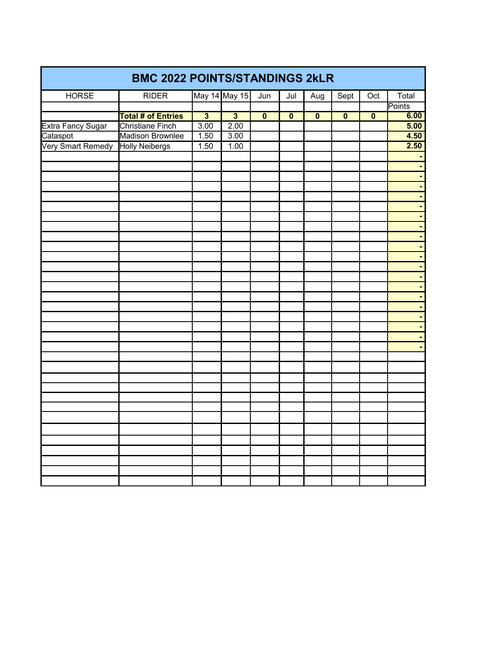| <b>BMC 2022 POINTS/STANDINGS 2kLR</b> |                           |                         |                         |                         |                         |                         |                         |                         |        |  |
|---------------------------------------|---------------------------|-------------------------|-------------------------|-------------------------|-------------------------|-------------------------|-------------------------|-------------------------|--------|--|
| <b>HORSE</b>                          | <b>RIDER</b>              |                         | May 14 May 15           | Jun                     | Jul                     | Aug                     | Sept                    | Oct                     | Total  |  |
|                                       |                           |                         |                         |                         |                         |                         |                         |                         | Points |  |
|                                       | <b>Total # of Entries</b> | $\overline{\mathbf{3}}$ | $\overline{\mathbf{3}}$ | $\overline{\mathbf{0}}$ | $\overline{\mathbf{0}}$ | $\overline{\mathbf{0}}$ | $\overline{\mathbf{0}}$ | $\overline{\mathbf{0}}$ | 6.00   |  |
|                                       | <b>Christiane Finch</b>   | 3.00                    | 2.00                    |                         |                         |                         |                         |                         | 5.00   |  |
| Extra Fancy Sugar<br>Cataspot         | Madison Brownlee          | 1.50                    | 3.00                    |                         |                         |                         |                         |                         | 4.50   |  |
| Very Smart Remedy                     | <b>Holly Neibergs</b>     | 1.50                    | 1.00                    |                         |                         |                         |                         |                         | 2.50   |  |
|                                       |                           |                         |                         |                         |                         |                         |                         |                         |        |  |
|                                       |                           |                         |                         |                         |                         |                         |                         |                         |        |  |
|                                       |                           |                         |                         |                         |                         |                         |                         |                         |        |  |
|                                       |                           |                         |                         |                         |                         |                         |                         |                         |        |  |
|                                       |                           |                         |                         |                         |                         |                         |                         |                         |        |  |
|                                       |                           |                         |                         |                         |                         |                         |                         |                         |        |  |
|                                       |                           |                         |                         |                         |                         |                         |                         |                         |        |  |
|                                       |                           |                         |                         |                         |                         |                         |                         |                         |        |  |
|                                       |                           |                         |                         |                         |                         |                         |                         |                         |        |  |
|                                       |                           |                         |                         |                         |                         |                         |                         |                         |        |  |
|                                       |                           |                         |                         |                         |                         |                         |                         |                         |        |  |
|                                       |                           |                         |                         |                         |                         |                         |                         |                         |        |  |
|                                       |                           |                         |                         |                         |                         |                         |                         |                         |        |  |
|                                       |                           |                         |                         |                         |                         |                         |                         |                         |        |  |
|                                       |                           |                         |                         |                         |                         |                         |                         |                         |        |  |
|                                       |                           |                         |                         |                         |                         |                         |                         |                         |        |  |
|                                       |                           |                         |                         |                         |                         |                         |                         |                         |        |  |
|                                       |                           |                         |                         |                         |                         |                         |                         |                         |        |  |
|                                       |                           |                         |                         |                         |                         |                         |                         |                         |        |  |
|                                       |                           |                         |                         |                         |                         |                         |                         |                         |        |  |
|                                       |                           |                         |                         |                         |                         |                         |                         |                         |        |  |
|                                       |                           |                         |                         |                         |                         |                         |                         |                         |        |  |
|                                       |                           |                         |                         |                         |                         |                         |                         |                         |        |  |
|                                       |                           |                         |                         |                         |                         |                         |                         |                         |        |  |
|                                       |                           |                         |                         |                         |                         |                         |                         |                         |        |  |
|                                       |                           |                         |                         |                         |                         |                         |                         |                         |        |  |
|                                       |                           |                         |                         |                         |                         |                         |                         |                         |        |  |
|                                       |                           |                         |                         |                         |                         |                         |                         |                         |        |  |
|                                       |                           |                         |                         |                         |                         |                         |                         |                         |        |  |
|                                       |                           |                         |                         |                         |                         |                         |                         |                         |        |  |
|                                       |                           |                         |                         |                         |                         |                         |                         |                         |        |  |
|                                       |                           |                         |                         |                         |                         |                         |                         |                         |        |  |
|                                       |                           |                         |                         |                         |                         |                         |                         |                         |        |  |
|                                       |                           |                         |                         |                         |                         |                         |                         |                         |        |  |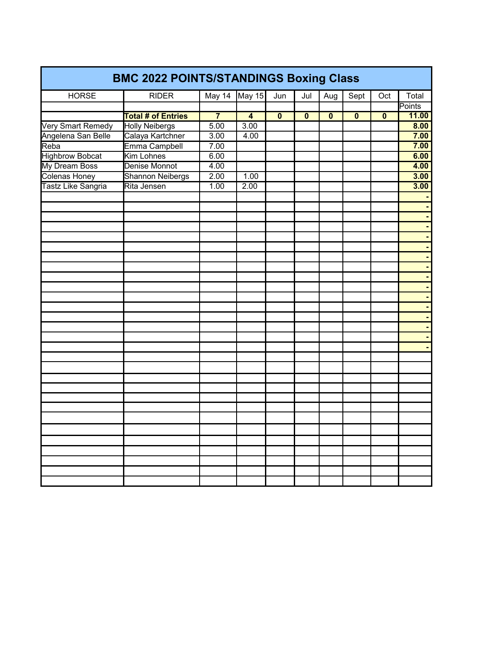| <b>BMC 2022 POINTS/STANDINGS Boxing Class</b> |                           |                |                |                         |              |                         |              |                         |        |  |  |
|-----------------------------------------------|---------------------------|----------------|----------------|-------------------------|--------------|-------------------------|--------------|-------------------------|--------|--|--|
| <b>HORSE</b>                                  | <b>RIDER</b>              | May 14         | May 15         | Jun                     | Jul          | Aug                     | Sept         | Oct                     | Total  |  |  |
|                                               |                           |                |                |                         |              |                         |              |                         | Points |  |  |
|                                               | <b>Total # of Entries</b> | $\overline{7}$ | $\overline{4}$ | $\overline{\mathbf{0}}$ | $\mathbf{0}$ | $\overline{\mathbf{0}}$ | $\mathbf{0}$ | $\overline{\mathbf{0}}$ | 11.00  |  |  |
| Very Smart Remedy                             | <b>Holly Neibergs</b>     | 5.00           | 3.00           |                         |              |                         |              |                         | 8.00   |  |  |
| Angelena San Belle                            | Calaya Kartchner          | 3.00           | 4.00           |                         |              |                         |              |                         | 7.00   |  |  |
| Reba                                          | Emma Campbell             | 7.00           |                |                         |              |                         |              |                         | 7.00   |  |  |
| <b>Highbrow Bobcat</b>                        | <b>Kim Lohnes</b>         | 6.00           |                |                         |              |                         |              |                         | 6.00   |  |  |
| My Dream Boss                                 | Denise Monnot             | 4.00           |                |                         |              |                         |              |                         | 4.00   |  |  |
| <b>Colenas Honey</b>                          | <b>Shannon Neibergs</b>   | 2.00           | 1.00           |                         |              |                         |              |                         | 3.00   |  |  |
| Tastz Like Sangria                            | Rita Jensen               | 1.00           | 2.00           |                         |              |                         |              |                         | 3.00   |  |  |
|                                               |                           |                |                |                         |              |                         |              |                         |        |  |  |
|                                               |                           |                |                |                         |              |                         |              |                         |        |  |  |
|                                               |                           |                |                |                         |              |                         |              |                         |        |  |  |
|                                               |                           |                |                |                         |              |                         |              |                         |        |  |  |
|                                               |                           |                |                |                         |              |                         |              |                         |        |  |  |
|                                               |                           |                |                |                         |              |                         |              |                         |        |  |  |
|                                               |                           |                |                |                         |              |                         |              |                         |        |  |  |
|                                               |                           |                |                |                         |              |                         |              |                         |        |  |  |
|                                               |                           |                |                |                         |              |                         |              |                         |        |  |  |
|                                               |                           |                |                |                         |              |                         |              |                         |        |  |  |
|                                               |                           |                |                |                         |              |                         |              |                         |        |  |  |
|                                               |                           |                |                |                         |              |                         |              |                         |        |  |  |
|                                               |                           |                |                |                         |              |                         |              |                         |        |  |  |
|                                               |                           |                |                |                         |              |                         |              |                         |        |  |  |
|                                               |                           |                |                |                         |              |                         |              |                         |        |  |  |
|                                               |                           |                |                |                         |              |                         |              |                         |        |  |  |
|                                               |                           |                |                |                         |              |                         |              |                         |        |  |  |
|                                               |                           |                |                |                         |              |                         |              |                         |        |  |  |
|                                               |                           |                |                |                         |              |                         |              |                         |        |  |  |
|                                               |                           |                |                |                         |              |                         |              |                         |        |  |  |
|                                               |                           |                |                |                         |              |                         |              |                         |        |  |  |
|                                               |                           |                |                |                         |              |                         |              |                         |        |  |  |
|                                               |                           |                |                |                         |              |                         |              |                         |        |  |  |
|                                               |                           |                |                |                         |              |                         |              |                         |        |  |  |
|                                               |                           |                |                |                         |              |                         |              |                         |        |  |  |
|                                               |                           |                |                |                         |              |                         |              |                         |        |  |  |
|                                               |                           |                |                |                         |              |                         |              |                         |        |  |  |
|                                               |                           |                |                |                         |              |                         |              |                         |        |  |  |
|                                               |                           |                |                |                         |              |                         |              |                         |        |  |  |
|                                               |                           |                |                |                         |              |                         |              |                         |        |  |  |